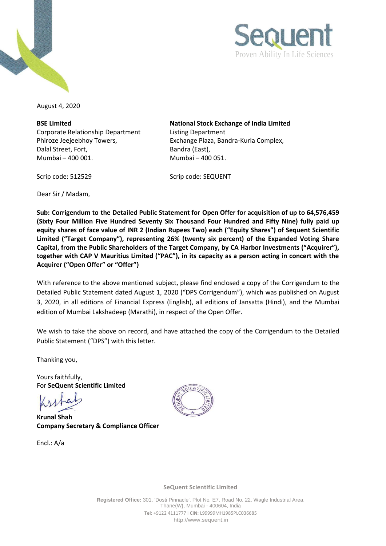



August 4, 2020

**BSE Limited** Corporate Relationship Department Phiroze Jeejeebhoy Towers, Dalal Street, Fort, Mumbai – 400 001. Mumbai – 400 051.

**National Stock Exchange of India Limited** Listing Department Exchange Plaza, Bandra-Kurla Complex, Bandra (East),

Dear Sir / Madam,

Scrip code: 512529 Scrip code: SEQUENT

**Sub: Corrigendum to the Detailed Public Statement for Open Offer for acquisition of up to 64,576,459 (Sixty Four Million Five Hundred Seventy Six Thousand Four Hundred and Fifty Nine) fully paid up equity shares of face value of INR 2 (Indian Rupees Two) each ("Equity Shares") of Sequent Scientific Limited ("Target Company"), representing 26% (twenty six percent) of the Expanded Voting Share Capital, from the Public Shareholders of the Target Company, by CA Harbor Investments ("Acquirer"), together with CAP V Mauritius Limited ("PAC"), in its capacity as a person acting in concert with the Acquirer ("Open Offer" or "Offer")**

With reference to the above mentioned subject, please find enclosed a copy of the Corrigendum to the Detailed Public Statement dated August 1, 2020 ("DPS Corrigendum"), which was published on August 3, 2020, in all editions of Financial Express (English), all editions of Jansatta (Hindi), and the Mumbai edition of Mumbai Lakshadeep (Marathi), in respect of the Open Offer.

We wish to take the above on record, and have attached the copy of the Corrigendum to the Detailed Public Statement ("DPS") with this letter.

Thanking you,

Yours faithfully, For **SeQuent Scientific Limited**

**Krunal Shah Company Secretary & Compliance Officer**

Encl.: A/a



**SeQuent Scientific Limited**

**Registered Office:** 301, 'Dosti Pinnacle', Plot No. E7, Road No. 22, Wagle Industrial Area, Thane(W}, Mumbai - 400604, India **Tel:** +9122 4111777 I **CIN:** L99999MH1985PLC036685 [http://www.sequent.in](http://www.sequent.in/)